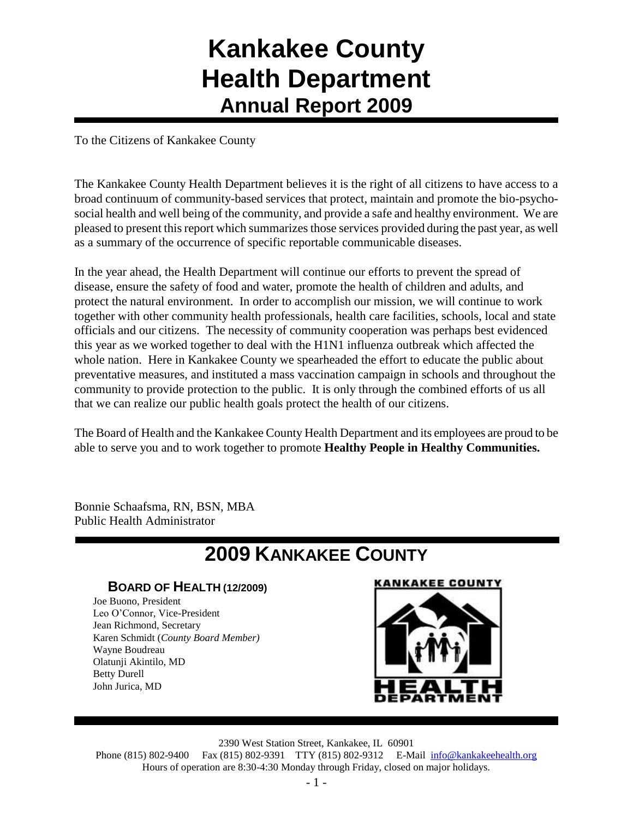## **Kankakee County Health Department Annual Report 2009**

To the Citizens of Kankakee County

The Kankakee County Health Department believes it is the right of all citizens to have access to a broad continuum of community-based services that protect, maintain and promote the bio-psychosocial health and well being of the community, and provide a safe and healthy environment. We are pleased to present this report which summarizes those services provided during the past year, as well as a summary of the occurrence of specific reportable communicable diseases.

In the year ahead, the Health Department will continue our efforts to prevent the spread of disease, ensure the safety of food and water, promote the health of children and adults, and protect the natural environment. In order to accomplish our mission, we will continue to work together with other community health professionals, health care facilities, schools, local and state officials and our citizens. The necessity of community cooperation was perhaps best evidenced this year as we worked together to deal with the H1N1 influenza outbreak which affected the whole nation. Here in Kankakee County we spearheaded the effort to educate the public about preventative measures, and instituted a mass vaccination campaign in schools and throughout the community to provide protection to the public. It is only through the combined efforts of us all that we can realize our public health goals protect the health of our citizens.

The Board of Health and the Kankakee County Health Department and its employees are proud to be able to serve you and to work together to promote **Healthy People in Healthy Communities.**

Bonnie Schaafsma, RN, BSN, MBA Public Health Administrator

## **2009 KANKAKEE COUNTY**

#### **BOARD OF HEALTH (12/2009)**

Joe Buono, President Leo O'Connor, Vice-President Jean Richmond, Secretary Karen Schmidt (*County Board Member)* Wayne Boudreau Olatunji Akintilo, MD Betty Durell John Jurica, MD





2390 West Station Street, Kankakee, IL 60901

Phone (815) 802-9400 Fax (815) 802-9391 TTY (815) 802-9312 E-Mail [info@kankakeehealth.org](mailto:pkankake@idphnet.com) Hours of operation are 8:30-4:30 Monday through Friday, closed on major holidays.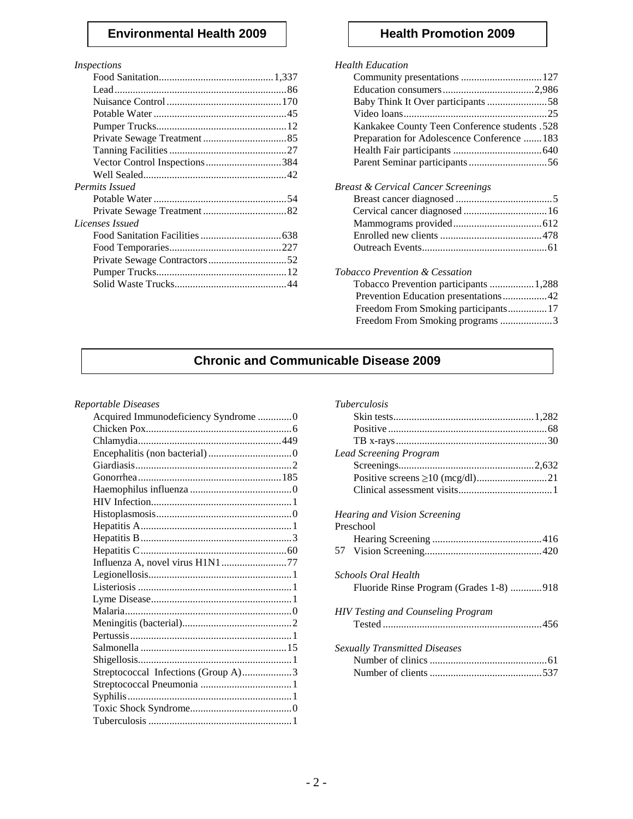#### **Environmental Health 2009 Health Promotion 2009**

#### *Inspections*

| Vector Control Inspections384 |  |
|-------------------------------|--|
|                               |  |
| Permits Issued                |  |
|                               |  |
|                               |  |
| Licenses Issued               |  |
|                               |  |
|                               |  |
|                               |  |
|                               |  |
|                               |  |
|                               |  |

#### *Health Education*

| Baby Think It Over participants 58            |
|-----------------------------------------------|
|                                               |
| Kankakee County Teen Conference students .528 |
| Preparation for Adolescence Conference  183   |
|                                               |
|                                               |
| Breast & Cervical Cancer Screenings           |
|                                               |
| Cervical cancer diagnosed  16                 |
|                                               |
|                                               |
|                                               |
| Tobacco Prevention & Cessation                |
| Tobacco Prevention participants 1,288         |
| Prevention Education presentations42          |
| Freedom From Smoking participants17           |
| Freedom From Smoking programs 3               |
|                                               |

### **Chronic and Communicable Disease 2009**

#### *Reportable Diseases*

| Acquired Immunodeficiency Syndrome 0 |             |
|--------------------------------------|-------------|
|                                      |             |
|                                      |             |
|                                      | Le          |
|                                      |             |
|                                      |             |
|                                      |             |
|                                      |             |
|                                      | $H\epsilon$ |
|                                      | Pr          |
|                                      |             |
|                                      | 57          |
|                                      |             |
|                                      | Sc          |
|                                      |             |
|                                      |             |
|                                      | H           |
|                                      |             |
|                                      |             |
|                                      | Se.         |
|                                      |             |
| Streptococcal Infections (Group A)3  |             |
|                                      |             |
|                                      |             |
|                                      |             |
|                                      |             |

| <i>Tuberculosis</i>                       |
|-------------------------------------------|
|                                           |
|                                           |
|                                           |
| <b>Lead Screening Program</b>             |
|                                           |
|                                           |
|                                           |
| <i>Hearing and Vision Screening</i>       |
| Preschool                                 |
|                                           |
|                                           |
| Schools Oral Health                       |
| Fluoride Rinse Program (Grades 1-8) 918   |
| <b>HIV Testing and Counseling Program</b> |
|                                           |
| <b>Sexually Transmitted Diseases</b>      |
|                                           |
|                                           |
|                                           |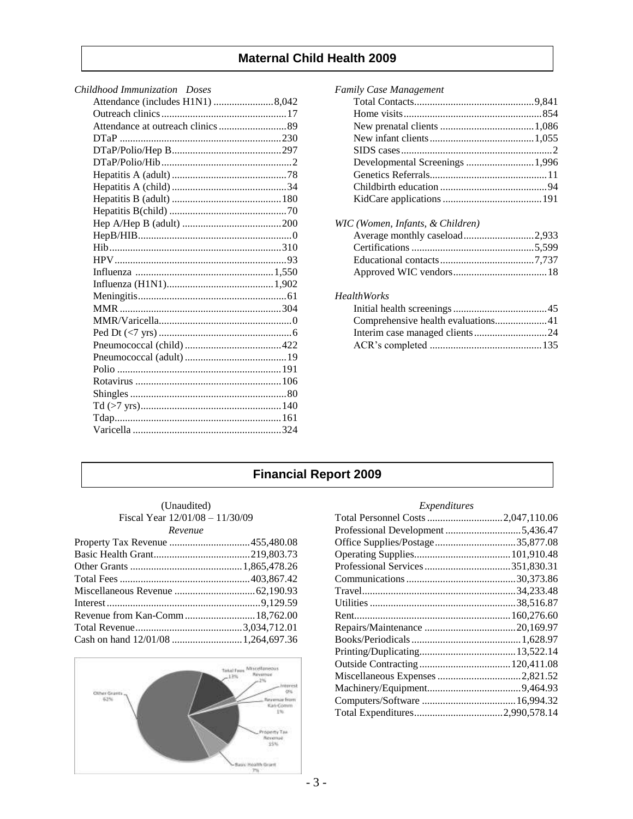#### **Maternal Child Health 2009**

| Childhood Immunization Doses     |
|----------------------------------|
| Attendance (includes H1N1) 8,042 |
|                                  |
|                                  |
|                                  |
|                                  |
|                                  |
|                                  |
|                                  |
|                                  |
|                                  |
|                                  |
|                                  |
|                                  |
|                                  |
|                                  |
|                                  |
|                                  |
|                                  |
|                                  |
|                                  |
|                                  |
|                                  |
|                                  |
|                                  |
|                                  |
|                                  |
|                                  |
|                                  |
|                                  |

| <b>Family Case Management</b>      |  |
|------------------------------------|--|
|                                    |  |
|                                    |  |
|                                    |  |
|                                    |  |
|                                    |  |
| Developmental Screenings 1,996     |  |
|                                    |  |
|                                    |  |
|                                    |  |
| WIC (Women, Infants, & Children)   |  |
|                                    |  |
|                                    |  |
|                                    |  |
|                                    |  |
| <b>HealthWorks</b>                 |  |
|                                    |  |
| Comprehensive health evaluations41 |  |
|                                    |  |
|                                    |  |
|                                    |  |

#### **Financial Report 2009**

#### (Unaudited) Fiscal Year 12/01/08 – 11/30/09 *Revenue*



#### *Expenditures*

| Total Personnel Costs 2,047,110.06 |  |
|------------------------------------|--|
|                                    |  |
| Office Supplies/Postage35,877.08   |  |
|                                    |  |
|                                    |  |
|                                    |  |
|                                    |  |
|                                    |  |
|                                    |  |
|                                    |  |
|                                    |  |
|                                    |  |
|                                    |  |
|                                    |  |
|                                    |  |
|                                    |  |
|                                    |  |